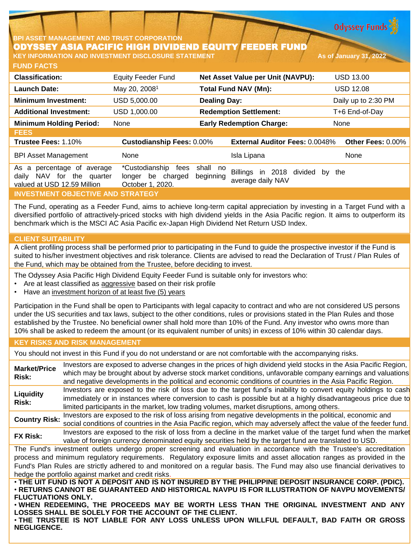**Odyssey Funds** 

# **BPI ASSET MANAGEMENT AND TRUST CORPORATION** ODYSSEY ASIA PACIFIC HIGH DIVIDEND EQUITY FEEDER FUND

**FUND FACTS KEY INFORMATION AND INVESTMENT DISCLOSURE STATEMENT As of January 31, 2022**

| <b>Classification:</b>                                                                    | <b>Equity Feeder Fund</b>                                       |                       | Net Asset Value per Unit (NAVPU):                   | <b>USD 13.00</b>    |
|-------------------------------------------------------------------------------------------|-----------------------------------------------------------------|-----------------------|-----------------------------------------------------|---------------------|
| <b>Launch Date:</b>                                                                       | May 20, 2008 <sup>1</sup>                                       |                       | <b>Total Fund NAV (Mn):</b>                         | <b>USD 12.08</b>    |
| <b>Minimum Investment:</b>                                                                | USD 5,000.00                                                    | <b>Dealing Day:</b>   |                                                     | Daily up to 2:30 PM |
| <b>Additional Investment:</b>                                                             | USD 1,000.00                                                    |                       | <b>Redemption Settlement:</b>                       | T+6 End-of-Day      |
| <b>Minimum Holding Period:</b>                                                            | None                                                            |                       | <b>Early Redemption Charge:</b>                     | None                |
| <b>FEES</b>                                                                               |                                                                 |                       |                                                     |                     |
| Trustee Fees: 1.10%                                                                       | <b>Custodianship Fees: 0.00%</b>                                |                       | <b>External Auditor Fees: 0.0048%</b>               | Other Fees: 0.00%   |
| <b>BPI Asset Management</b>                                                               | None                                                            |                       | Isla Lipana                                         | None                |
| As a percentage of average<br>NAV for the quarter<br>daily<br>valued at USD 12.59 Million | *Custodianship<br>fees<br>longer be charged<br>October 1, 2020. | shall no<br>beginning | Billings in 2018 divided<br>by<br>average daily NAV | the                 |
| <b>INVESTMENT OBJECTIVE AND STRATEGY</b>                                                  |                                                                 |                       |                                                     |                     |

The Fund, operating as a Feeder Fund, aims to achieve long-term capital appreciation by investing in a Target Fund with a diversified portfolio of attractively-priced stocks with high dividend yields in the Asia Pacific region. It aims to outperform its benchmark which is the MSCI AC Asia Pacific ex-Japan High Dividend Net Return USD Index.

# **CLIENT SUITABILITY**

A client profiling process shall be performed prior to participating in the Fund to guide the prospective investor if the Fund is suited to his/her investment objectives and risk tolerance. Clients are advised to read the Declaration of Trust / Plan Rules of the Fund, which may be obtained from the Trustee, before deciding to invest.

The Odyssey Asia Pacific High Dividend Equity Feeder Fund is suitable only for investors who:

- Are at least classified as aggressive based on their risk profile
- Have an investment horizon of at least five (5) years

Participation in the Fund shall be open to Participants with legal capacity to contract and who are not considered US persons under the US securities and tax laws, subject to the other conditions, rules or provisions stated in the Plan Rules and those established by the Trustee. No beneficial owner shall hold more than 10% of the Fund. Any investor who owns more than 10% shall be asked to redeem the amount (or its equivalent number of units) in excess of 10% within 30 calendar days.

# **KEY RISKS AND RISK MANAGEMENT**

You should not invest in this Fund if you do not understand or are not comfortable with the accompanying risks.

**Market/Price Risk:** Investors are exposed to adverse changes in the prices of high dividend yield stocks in the Asia Pacific Region, which may be brought about by adverse stock market conditions, unfavorable company earnings and valuations and negative developments in the political and economic conditions of countries in the Asia Pacific Region. **Liquidity Risk:** Investors are exposed to the risk of loss due to the target fund's inability to convert equity holdings to cash immediately or in instances where conversion to cash is possible but at a highly disadvantageous price due to limited participants in the market, low trading volumes, market disruptions, among others. **Country Risk:** Investors are exposed to the risk of loss arising from negative developments in the political, economic and social conditions of countries in the Asia Pacific region, which may adversely affect the value of the feeder fund. **FX Risk:** Investors are exposed to the risk of loss from <sup>a</sup> decline in the market value of the target fund when the market value of foreign currency denominated equity securities held by the target fund are translated to USD. The Fund's investment outlets undergo proper screening and evaluation in accordance with the Trustee's accreditation process and minimum regulatory requirements. Regulatory exposure limits and asset allocation ranges as provided in the Fund's Plan Rules are strictly adhered to and monitored on a regular basis. The Fund may also use financial derivatives to hedge the portfolio against market and credit risks. . THE UIT FUND IS NOT A DEPOSIT AND IS NOT INSURED BY THE PHILIPPINE DEPOSIT INSURANCE CORP. (PDIC). • **RETURNS CANNOT BE GUARANTEED AND HISTORICAL NAVPU IS FOR ILLUSTRATION OF NAVPU MOVEMENTS/ FLUCTUATIONS ONLY.**

• **WHEN REDEEMING, THE PROCEEDS MAY BE WORTH LESS THAN THE ORIGINAL INVESTMENT AND ANY LOSSES SHALL BE SOLELY FOR THE ACCOUNT OF THE CLIENT.**

• **THE TRUSTEE IS NOT LIABLE FOR ANY LOSS UNLESS UPON WILLFUL DEFAULT, BAD FAITH OR GROSS NEGLIGENCE.**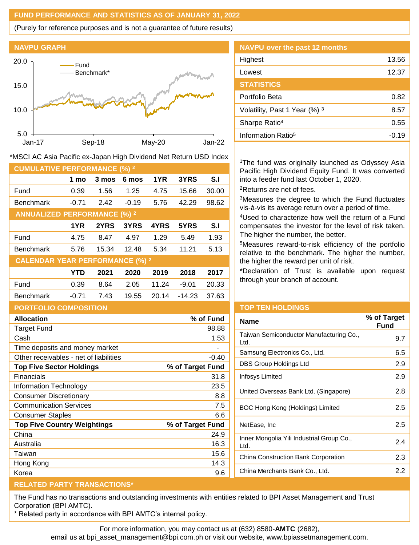# **FUND PERFORMANCE AND STATISTICS AS OF JANUARY 31, 2022**

(Purely for reference purposes and is not a guarantee of future results)



| <b>NAVPU over the past 12 months</b> |         |
|--------------------------------------|---------|
| Highest                              | 13.56   |
| Lowest                               | 12.37   |
| <b>STATISTICS</b>                    |         |
| Portfolio Beta                       | 0.82    |
| Volatility, Past 1 Year (%) 3        | 8.57    |
| Sharpe Ratio <sup>4</sup>            | 0.55    |
| Information Ratio <sup>5</sup>       | $-0.19$ |

\*MSCI AC Asia Pacific ex-Japan High Dividend Net Return USD Index

| <b>CUMULATIVE PERFORMANCE (%) 2</b>    |            |       |         |       |          |       |
|----------------------------------------|------------|-------|---------|-------|----------|-------|
|                                        | 1 mo       | 3 mos | 6 mos   | 1YR   | 3YRS     | S.I   |
| Fund                                   | 0.39       | 1.56  | 1.25    | 4.75  | 15.66    | 30.00 |
| <b>Benchmark</b>                       | $-0.71$    | 2.42  | $-0.19$ | 5.76  | 42.29    | 98.62 |
| <b>ANNUALIZED PERFORMANCE (%) 2</b>    |            |       |         |       |          |       |
|                                        | 1YR        | 2YRS  | 3YRS    | 4YRS  | 5YRS     | S.I   |
| Fund                                   | 4.75       | 8.47  | 4.97    | 1.29  | 5.49     | 1.93  |
| <b>Benchmark</b>                       | 5.76       | 15.34 | 12.48   | 5.34  | 11.21    | 5.13  |
| <b>CALENDAR YEAR PERFORMANCE (%) 2</b> |            |       |         |       |          |       |
|                                        | <b>YTD</b> | 2021  | 2020    | 2019  | 2018     | 2017  |
| Fund                                   | 0.39       | 8.64  | 2.05    | 11.24 | -9.01    | 20.33 |
| <b>Benchmark</b>                       | $-0.71$    | 7.43  | 19.55   | 20.14 | $-14.23$ | 37.63 |
| <b>PORTFOLIO COMPOSITION</b>           |            |       |         |       |          |       |

| <b>Allocation</b>                      | % of Fund        |
|----------------------------------------|------------------|
| <b>Target Fund</b>                     | 98.88            |
| Cash                                   | 1.53             |
| Time deposits and money market         |                  |
| Other receivables - net of liabilities | $-0.40$          |
| <b>Top Five Sector Holdings</b>        | % of Target Fund |
| Financials                             | 31.8             |
| <b>Information Technology</b>          | 23.5             |
| <b>Consumer Discretionary</b>          | 8.8              |
| <b>Communication Services</b>          | 7.5              |
| <b>Consumer Staples</b>                | 6.6              |
| <b>Top Five Country Weightings</b>     | % of Target Fund |
| China                                  | 24.9             |
| Australia                              | 16.3             |
| Taiwan                                 | 15.6             |
| Hong Kong                              | 14.3             |
| Korea                                  | 9.6              |
|                                        |                  |

# <sup>1</sup>The fund was originally launched as Odyssey Asia Pacific High Dividend Equity Fund. It was converted into a feeder fund last October 1, 2020.

<sup>2</sup>Returns are net of fees.

<sup>3</sup>Measures the degree to which the Fund fluctuates vis-à-vis its average return over a period of time.

<sup>4</sup>Used to characterize how well the return of a Fund compensates the investor for the level of risk taken. The higher the number, the better.

<sup>5</sup>Measures reward-to-risk efficiency of the portfolio relative to the benchmark. The higher the number, the higher the reward per unit of risk.

\*Declaration of Trust is available upon request through your branch of account.

### **TOP TEN HOLDINGS**

| Name                                              | % of Target<br>Fund |
|---------------------------------------------------|---------------------|
| Taiwan Semiconductor Manufacturing Co.,<br>Ltd.   | 9.7                 |
| Samsung Electronics Co., Ltd.                     | 6.5                 |
| DBS Group Holdings Ltd                            | 2.9                 |
| Infosys Limited                                   | 2.9                 |
| United Overseas Bank Ltd. (Singapore)             | 2.8                 |
| BOC Hong Kong (Holdings) Limited                  | 2.5                 |
| NetEase, Inc                                      | 2.5                 |
| Inner Mongolia Yili Industrial Group Co.,<br>Ltd. | 24                  |
| China Construction Bank Corporation               | 2.3                 |
| China Merchants Bank Co., Ltd.                    | 2.2                 |

#### **RELATED PARTY TRANSACTIONS\***

The Fund has no transactions and outstanding investments with entities related to BPI Asset Management and Trust Corporation (BPI AMTC).

\* Related party in accordance with BPI AMTC's internal policy.

For more information, you may contact us at (632) 8580-**AMTC** (2682),

email us at bpi\_asset\_management@bpi.com.ph or visit our website, www.bpiassetmanagement.com.